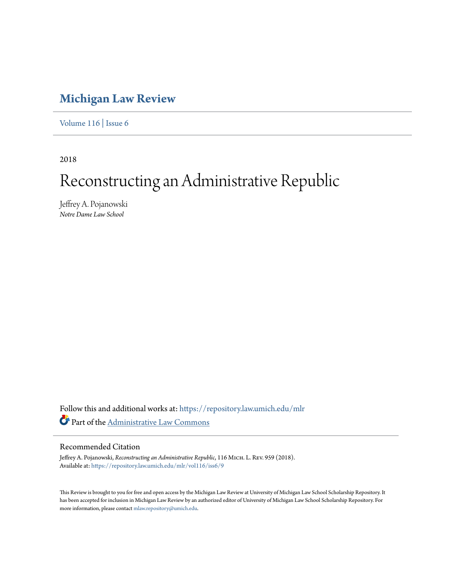# **[Michigan Law Review](https://repository.law.umich.edu/mlr?utm_source=repository.law.umich.edu%2Fmlr%2Fvol116%2Fiss6%2F9&utm_medium=PDF&utm_campaign=PDFCoverPages)**

[Volume 116](https://repository.law.umich.edu/mlr/vol116?utm_source=repository.law.umich.edu%2Fmlr%2Fvol116%2Fiss6%2F9&utm_medium=PDF&utm_campaign=PDFCoverPages) | [Issue 6](https://repository.law.umich.edu/mlr/vol116/iss6?utm_source=repository.law.umich.edu%2Fmlr%2Fvol116%2Fiss6%2F9&utm_medium=PDF&utm_campaign=PDFCoverPages)

2018

# Reconstructing an Administrative Republic

Jeffrey A. Pojanowski *Notre Dame Law School*

Follow this and additional works at: [https://repository.law.umich.edu/mlr](https://repository.law.umich.edu/mlr?utm_source=repository.law.umich.edu%2Fmlr%2Fvol116%2Fiss6%2F9&utm_medium=PDF&utm_campaign=PDFCoverPages) Part of the [Administrative Law Commons](http://network.bepress.com/hgg/discipline/579?utm_source=repository.law.umich.edu%2Fmlr%2Fvol116%2Fiss6%2F9&utm_medium=PDF&utm_campaign=PDFCoverPages)

## Recommended Citation

Jeffrey A. Pojanowski, *Reconstructing an Administrative Republic*, 116 MICH. L. REV. 959 (2018). Available at: [https://repository.law.umich.edu/mlr/vol116/iss6/9](https://repository.law.umich.edu/mlr/vol116/iss6/9?utm_source=repository.law.umich.edu%2Fmlr%2Fvol116%2Fiss6%2F9&utm_medium=PDF&utm_campaign=PDFCoverPages)

This Review is brought to you for free and open access by the Michigan Law Review at University of Michigan Law School Scholarship Repository. It has been accepted for inclusion in Michigan Law Review by an authorized editor of University of Michigan Law School Scholarship Repository. For more information, please contact [mlaw.repository@umich.edu](mailto:mlaw.repository@umich.edu).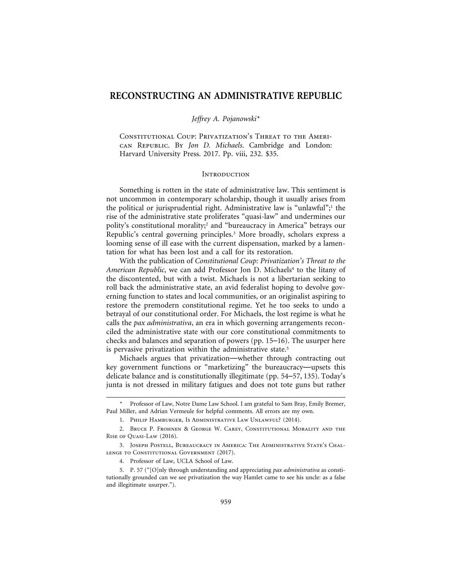### **RECONSTRUCTING AN ADMINISTRATIVE REPUBLIC**

*Jeffrey A. Pojanowski\**

Constitutional Coup: Privatization's Threat to the American Republic. By *Jon D. Michaels*. Cambridge and London: Harvard University Press. 2017. Pp. viii, 232. \$35.

#### **INTRODUCTION**

Something is rotten in the state of administrative law. This sentiment is not uncommon in contemporary scholarship, though it usually arises from the political or jurisprudential right. Administrative law is "unlawful";<sup>1</sup> the rise of the administrative state proliferates "quasi-law" and undermines our polity's constitutional morality;2 and "bureaucracy in America" betrays our Republic's central governing principles.3 More broadly, scholars express a looming sense of ill ease with the current dispensation, marked by a lamentation for what has been lost and a call for its restoration.

With the publication of *Constitutional Coup: Privatization's Threat to the* American Republic, we can add Professor Jon D. Michaels<sup>4</sup> to the litany of the discontented, but with a twist. Michaels is not a libertarian seeking to roll back the administrative state, an avid federalist hoping to devolve governing function to states and local communities, or an originalist aspiring to restore the premodern constitutional regime. Yet he too seeks to undo a betrayal of our constitutional order. For Michaels, the lost regime is what he calls the *pax administrativa*, an era in which governing arrangements reconciled the administrative state with our core constitutional commitments to checks and balances and separation of powers (pp. 15–16). The usurper here is pervasive privatization within the administrative state.<sup>5</sup>

Michaels argues that privatization—whether through contracting out key government functions or "marketizing" the bureaucracy—upsets this delicate balance and is constitutionally illegitimate (pp. 54–57, 135). Today's junta is not dressed in military fatigues and does not tote guns but rather

4. Professor of Law, UCLA School of Law.

<sup>\*</sup> Professor of Law, Notre Dame Law School. I am grateful to Sam Bray, Emily Bremer, Paul Miller, and Adrian Vermeule for helpful comments. All errors are my own.

<sup>1.</sup> Philip Hamburger, Is Administrative Law Unlawful? (2014).

<sup>2.</sup> BRUCE P. FROHNEN & GEORGE W. CAREY, CONSTITUTIONAL MORALITY AND THE Rise of Quasi-Law (2016).

<sup>3.</sup> Joseph Postell, Bureaucracy in America: The Administrative State's Challenge to Constitutional Government (2017).

<sup>5.</sup> P. 57 ("[O]nly through understanding and appreciating *pax administrativa* as constitutionally grounded can we see privatization the way Hamlet came to see his uncle: as a false and illegitimate usurper.").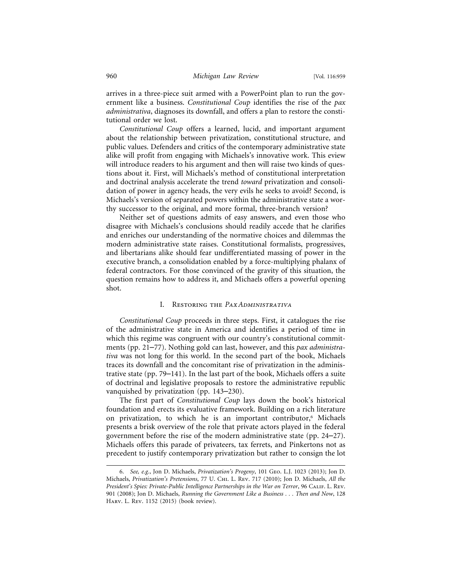arrives in a three-piece suit armed with a PowerPoint plan to run the government like a business. *Constitutional Coup* identifies the rise of the *pax administrativa*, diagnoses its downfall, and offers a plan to restore the constitutional order we lost.

*Constitutional Coup* offers a learned, lucid, and important argument about the relationship between privatization, constitutional structure, and public values. Defenders and critics of the contemporary administrative state alike will profit from engaging with Michaels's innovative work. This eview will introduce readers to his argument and then will raise two kinds of questions about it. First, will Michaels's method of constitutional interpretation and doctrinal analysis accelerate the trend *toward* privatization and consolidation of power in agency heads, the very evils he seeks to avoid? Second, is Michaels's version of separated powers within the administrative state a worthy successor to the original, and more formal, three-branch version?

Neither set of questions admits of easy answers, and even those who disagree with Michaels's conclusions should readily accede that he clarifies and enriches our understanding of the normative choices and dilemmas the modern administrative state raises. Constitutional formalists, progressives, and libertarians alike should fear undifferentiated massing of power in the executive branch, a consolidation enabled by a force-multiplying phalanx of federal contractors. For those convinced of the gravity of this situation, the question remains how to address it, and Michaels offers a powerful opening shot.

#### I. Restoring the *Pax Administrativa*

*Constitutional Coup* proceeds in three steps. First, it catalogues the rise of the administrative state in America and identifies a period of time in which this regime was congruent with our country's constitutional commitments (pp. 21–77). Nothing gold can last, however, and this *pax administrativa* was not long for this world. In the second part of the book, Michaels traces its downfall and the concomitant rise of privatization in the administrative state (pp. 79–141). In the last part of the book, Michaels offers a suite of doctrinal and legislative proposals to restore the administrative republic vanquished by privatization (pp. 143–230).

The first part of *Constitutional Coup* lays down the book's historical foundation and erects its evaluative framework. Building on a rich literature on privatization, to which he is an important contributor,<sup>6</sup> Michaels presents a brisk overview of the role that private actors played in the federal government before the rise of the modern administrative state (pp. 24–27). Michaels offers this parade of privateers, tax ferrets, and Pinkertons not as precedent to justify contemporary privatization but rather to consign the lot

<sup>6.</sup> *See, e.g.*, Jon D. Michaels, *Privatization's Progeny*, 101 Geo. L.J. 1023 (2013); Jon D. Michaels, *Privatization's Pretensions*, 77 U. Chi. L. Rev. 717 (2010); Jon D. Michaels, *All the President's Spies: Private-Public Intelligence Partnerships in the War on Terror*, 96 Calif. L. Rev. 901 (2008); Jon D. Michaels, *Running the Government Like a Business . . . Then and Now*, 128 Harv. L. Rev. 1152 (2015) (book review).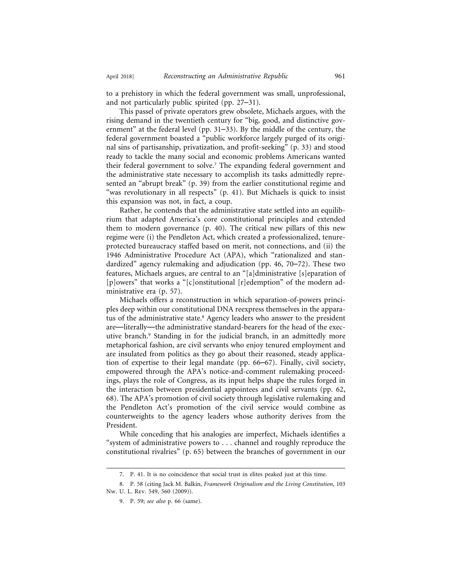to a prehistory in which the federal government was small, unprofessional, and not particularly public spirited (pp. 27–31).

This passel of private operators grew obsolete, Michaels argues, with the rising demand in the twentieth century for "big, good, and distinctive government" at the federal level (pp. 31–33). By the middle of the century, the federal government boasted a "public workforce largely purged of its original sins of partisanship, privatization, and profit-seeking" (p. 33) and stood ready to tackle the many social and economic problems Americans wanted their federal government to solve.7 The expanding federal government and the administrative state necessary to accomplish its tasks admittedly represented an "abrupt break" (p. 39) from the earlier constitutional regime and "was revolutionary in all respects" (p. 41). But Michaels is quick to insist this expansion was not, in fact, a coup.

Rather, he contends that the administrative state settled into an equilibrium that adapted America's core constitutional principles and extended them to modern governance (p. 40). The critical new pillars of this new regime were (i) the Pendleton Act, which created a professionalized, tenureprotected bureaucracy staffed based on merit, not connections, and (ii) the 1946 Administrative Procedure Act (APA), which "rationalized and standardized" agency rulemaking and adjudication (pp. 46, 70–72). These two features, Michaels argues, are central to an "[a]dministrative [s]eparation of [p]owers" that works a "[c]onstitutional [r]edemption" of the modern administrative era (p. 57).

Michaels offers a reconstruction in which separation-of-powers principles deep within our constitutional DNA reexpress themselves in the apparatus of the administrative state.8 Agency leaders who answer to the president are—literally—the administrative standard-bearers for the head of the executive branch.<sup>9</sup> Standing in for the judicial branch, in an admittedly more metaphorical fashion, are civil servants who enjoy tenured employment and are insulated from politics as they go about their reasoned, steady application of expertise to their legal mandate (pp. 66–67). Finally, civil society, empowered through the APA's notice-and-comment rulemaking proceedings, plays the role of Congress, as its input helps shape the rules forged in the interaction between presidential appointees and civil servants (pp. 62, 68). The APA's promotion of civil society through legislative rulemaking and the Pendleton Act's promotion of the civil service would combine as counterweights to the agency leaders whose authority derives from the President.

While conceding that his analogies are imperfect, Michaels identifies a "system of administrative powers to . . . channel and roughly reproduce the constitutional rivalries" (p. 65) between the branches of government in our

<sup>7.</sup> P. 41. It is no coincidence that social trust in elites peaked just at this time.

<sup>8.</sup> P. 58 (citing Jack M. Balkin, *Framework Originalism and the Living Constitution*, 103 Nw. U. L. Rev. 549, 560 (2009)).

<sup>9.</sup> P. 59; *see also* p. 66 (same).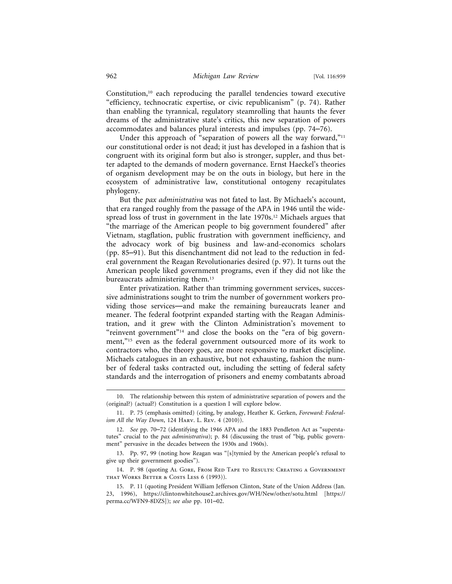Constitution,<sup>10</sup> each reproducing the parallel tendencies toward executive "efficiency, technocratic expertise, or civic republicanism" (p. 74). Rather than enabling the tyrannical, regulatory steamrolling that haunts the fever dreams of the administrative state's critics, this new separation of powers accommodates and balances plural interests and impulses (pp. 74–76).

Under this approach of "separation of powers all the way forward,"<sup>11</sup> our constitutional order is not dead; it just has developed in a fashion that is congruent with its original form but also is stronger, suppler, and thus better adapted to the demands of modern governance. Ernst Haeckel's theories of organism development may be on the outs in biology, but here in the ecosystem of administrative law, constitutional ontogeny recapitulates phylogeny.

But the *pax administrativa* was not fated to last. By Michaels's account, that era ranged roughly from the passage of the APA in 1946 until the widespread loss of trust in government in the late 1970s.<sup>12</sup> Michaels argues that "the marriage of the American people to big government foundered" after Vietnam, stagflation, public frustration with government inefficiency, and the advocacy work of big business and law-and-economics scholars (pp. 85–91). But this disenchantment did not lead to the reduction in federal government the Reagan Revolutionaries desired (p. 97). It turns out the American people liked government programs, even if they did not like the bureaucrats administering them.<sup>13</sup>

Enter privatization. Rather than trimming government services, successive administrations sought to trim the number of government workers providing those services—and make the remaining bureaucrats leaner and meaner. The federal footprint expanded starting with the Reagan Administration, and it grew with the Clinton Administration's movement to "reinvent government"<sup>14</sup> and close the books on the "era of big government,"<sup>15</sup> even as the federal government outsourced more of its work to contractors who, the theory goes, are more responsive to market discipline. Michaels catalogues in an exhaustive, but not exhausting, fashion the number of federal tasks contracted out, including the setting of federal safety standards and the interrogation of prisoners and enemy combatants abroad

14. P. 98 (quoting Al GORE, FROM RED TAPE TO RESULTS: CREATING A GOVERNMENT that Works Better & Costs Less 6 (1993)).

<sup>10.</sup> The relationship between this system of administrative separation of powers and the (original?) (actual?) Constitution is a question I will explore below.

<sup>11.</sup> P. 75 (emphasis omitted) (citing, by analogy, Heather K. Gerken, *Foreward: Federalism All the Way Down*, 124 Harv. L. Rev. 4 (2010)).

<sup>12.</sup> *See* pp. 70–72 (identifying the 1946 APA and the 1883 Pendleton Act as "superstatutes" crucial to the *pax administrativa*); p. 84 (discussing the trust of "big, public government" pervasive in the decades between the 1930s and 1960s).

<sup>13.</sup> Pp. 97, 99 (noting how Reagan was "[s]tymied by the American people's refusal to give up their government goodies").

<sup>15.</sup> P. 11 (quoting President William Jefferson Clinton, State of the Union Address (Jan. 23, 1996), https://clintonwhitehouse2.archives.gov/WH/New/other/sotu.html [https:// perma.cc/WFN9-8DZS]); *see also* pp. 101–02.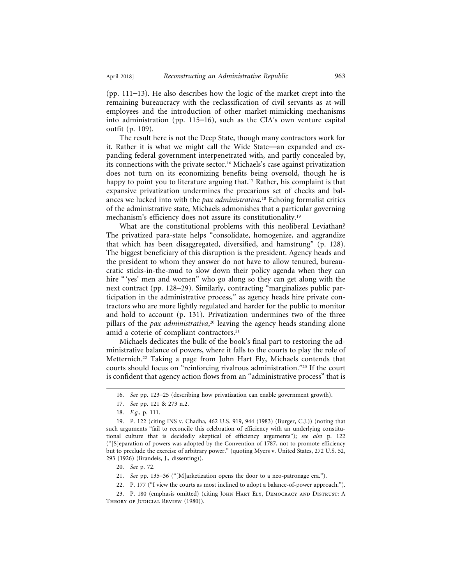(pp. 111–13). He also describes how the logic of the market crept into the remaining bureaucracy with the reclassification of civil servants as at-will employees and the introduction of other market-mimicking mechanisms into administration (pp. 115–16), such as the CIA's own venture capital outfit (p. 109).

The result here is not the Deep State, though many contractors work for it. Rather it is what we might call the Wide State—an expanded and expanding federal government interpenetrated with, and partly concealed by, its connections with the private sector.16 Michaels's case against privatization does not turn on its economizing benefits being oversold, though he is happy to point you to literature arguing that.<sup>17</sup> Rather, his complaint is that expansive privatization undermines the precarious set of checks and balances we lucked into with the *pax administrativa*. 18 Echoing formalist critics of the administrative state, Michaels admonishes that a particular governing mechanism's efficiency does not assure its constitutionality.<sup>19</sup>

What are the constitutional problems with this neoliberal Leviathan? The privatized para-state helps "consolidate, homogenize, and aggrandize that which has been disaggregated, diversified, and hamstrung" (p. 128). The biggest beneficiary of this disruption is the president. Agency heads and the president to whom they answer do not have to allow tenured, bureaucratic sticks-in-the-mud to slow down their policy agenda when they can hire "'yes' men and women" who go along so they can get along with the next contract (pp. 128–29). Similarly, contracting "marginalizes public participation in the administrative process," as agency heads hire private contractors who are more lightly regulated and harder for the public to monitor and hold to account (p. 131). Privatization undermines two of the three pillars of the *pax administrativa*, 20 leaving the agency heads standing alone amid a coterie of compliant contractors.<sup>21</sup>

Michaels dedicates the bulk of the book's final part to restoring the administrative balance of powers, where it falls to the courts to play the role of Metternich.22 Taking a page from John Hart Ely, Michaels contends that courts should focus on "reinforcing rivalrous administration."23 If the court is confident that agency action flows from an "administrative process" that is

<sup>16.</sup> *See* pp. 123–25 (describing how privatization can enable government growth).

<sup>17.</sup> *See* pp. 121 & 273 n.2.

<sup>18.</sup> *E.g.*, p. 111.

<sup>19.</sup> P. 122 (citing INS v. Chadha, 462 U.S. 919, 944 (1983) (Burger, C.J.)) (noting that such arguments "fail to reconcile this celebration of efficiency with an underlying constitutional culture that is decidedly skeptical of efficiency arguments"); *see also* p. 122 ("[S]eparation of powers was adopted by the Convention of 1787, not to promote efficiency but to preclude the exercise of arbitrary power." (quoting Myers v. United States, 272 U.S. 52, 293 (1926) (Brandeis, J., dissenting)).

<sup>20.</sup> *See* p. 72.

<sup>21.</sup> *See* pp. 135–36 ("[M]arketization opens the door to a neo-patronage era.").

<sup>22.</sup> P. 177 ("I view the courts as most inclined to adopt a balance-of-power approach.").

<sup>23.</sup> P. 180 (emphasis omitted) (citing JOHN HART ELY, DEMOCRACY AND DISTRUST: A THEORY OF JUDICIAL REVIEW (1980)).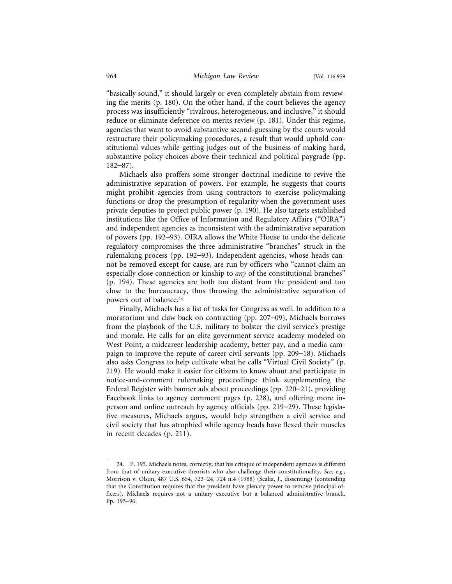"basically sound," it should largely or even completely abstain from reviewing the merits (p. 180). On the other hand, if the court believes the agency process was insufficiently "rivalrous, heterogeneous, and inclusive," it should reduce or eliminate deference on merits review (p. 181). Under this regime, agencies that want to avoid substantive second-guessing by the courts would restructure their policymaking procedures, a result that would uphold constitutional values while getting judges out of the business of making hard, substantive policy choices above their technical and political paygrade (pp. 182–87).

Michaels also proffers some stronger doctrinal medicine to revive the administrative separation of powers. For example, he suggests that courts might prohibit agencies from using contractors to exercise policymaking functions or drop the presumption of regularity when the government uses private deputies to project public power (p. 190). He also targets established institutions like the Office of Information and Regulatory Affairs ("OIRA") and independent agencies as inconsistent with the administrative separation of powers (pp. 192–93). OIRA allows the White House to undo the delicate regulatory compromises the three administrative "branches" struck in the rulemaking process (pp. 192–93). Independent agencies, whose heads cannot be removed except for cause, are run by officers who "cannot claim an especially close connection or kinship to *any* of the constitutional branches" (p. 194). These agencies are both too distant from the president and too close to the bureaucracy, thus throwing the administrative separation of powers out of balance.<sup>24</sup>

Finally, Michaels has a list of tasks for Congress as well. In addition to a moratorium and claw back on contracting (pp. 207–09), Michaels borrows from the playbook of the U.S. military to bolster the civil service's prestige and morale. He calls for an elite government service academy modeled on West Point, a midcareer leadership academy, better pay, and a media campaign to improve the repute of career civil servants (pp. 209–18). Michaels also asks Congress to help cultivate what he calls "Virtual Civil Society" (p. 219). He would make it easier for citizens to know about and participate in notice-and-comment rulemaking proceedings: think supplementing the Federal Register with banner ads about proceedings (pp. 220–21), providing Facebook links to agency comment pages (p. 228), and offering more inperson and online outreach by agency officials (pp. 219–29). These legislative measures, Michaels argues, would help strengthen a civil service and civil society that has atrophied while agency heads have flexed their muscles in recent decades (p. 211).

<sup>24.</sup> P. 195. Michaels notes, correctly, that his critique of independent agencies is different from that of unitary executive theorists who also challenge their constitutionality. *See, e.g.*, Morrison v. Olson, 487 U.S. 654, 723–24, 724 n.4 (1988) (Scalia, J., dissenting) (contending that the Constitution requires that the president have plenary power to remove principal officers). Michaels requires not a unitary executive but a balanced administrative branch. Pp. 195–96.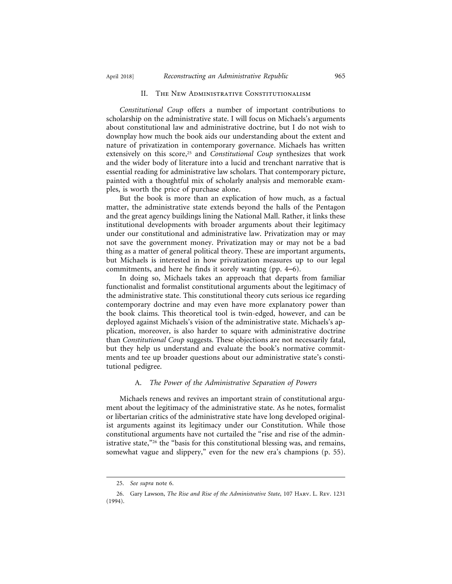#### II. The New Administrative Constitutionalism

*Constitutional Coup* offers a number of important contributions to scholarship on the administrative state. I will focus on Michaels's arguments about constitutional law and administrative doctrine, but I do not wish to downplay how much the book aids our understanding about the extent and nature of privatization in contemporary governance. Michaels has written extensively on this score,<sup>25</sup> and *Constitutional Coup* synthesizes that work and the wider body of literature into a lucid and trenchant narrative that is essential reading for administrative law scholars. That contemporary picture, painted with a thoughtful mix of scholarly analysis and memorable examples, is worth the price of purchase alone.

But the book is more than an explication of how much, as a factual matter, the administrative state extends beyond the halls of the Pentagon and the great agency buildings lining the National Mall. Rather, it links these institutional developments with broader arguments about their legitimacy under our constitutional and administrative law. Privatization may or may not save the government money. Privatization may or may not be a bad thing as a matter of general political theory. These are important arguments, but Michaels is interested in how privatization measures up to our legal commitments, and here he finds it sorely wanting (pp. 4–6).

In doing so, Michaels takes an approach that departs from familiar functionalist and formalist constitutional arguments about the legitimacy of the administrative state. This constitutional theory cuts serious ice regarding contemporary doctrine and may even have more explanatory power than the book claims. This theoretical tool is twin-edged, however, and can be deployed against Michaels's vision of the administrative state. Michaels's application, moreover, is also harder to square with administrative doctrine than *Constitutional Coup* suggests. These objections are not necessarily fatal, but they help us understand and evaluate the book's normative commitments and tee up broader questions about our administrative state's constitutional pedigree.

#### A. *The Power of the Administrative Separation of Powers*

Michaels renews and revives an important strain of constitutional argument about the legitimacy of the administrative state. As he notes, formalist or libertarian critics of the administrative state have long developed originalist arguments against its legitimacy under our Constitution. While those constitutional arguments have not curtailed the "rise and rise of the administrative state,"<sup>26</sup> the "basis for this constitutional blessing was, and remains, somewhat vague and slippery," even for the new era's champions (p. 55).

<sup>25.</sup> *See supra* note 6.

<sup>26.</sup> Gary Lawson, *The Rise and Rise of the Administrative State*, 107 Harv. L. Rev. 1231 (1994).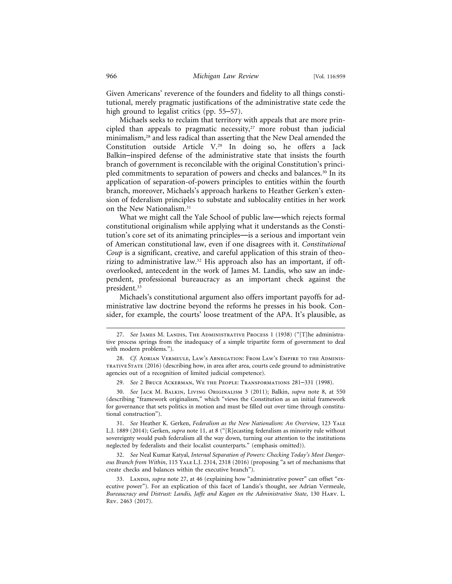Given Americans' reverence of the founders and fidelity to all things constitutional, merely pragmatic justifications of the administrative state cede the high ground to legalist critics (pp. 55–57).

Michaels seeks to reclaim that territory with appeals that are more principled than appeals to pragmatic necessity, $27$  more robust than judicial minimalism,28 and less radical than asserting that the New Deal amended the Constitution outside Article V.29 In doing so, he offers a Jack Balkin–inspired defense of the administrative state that insists the fourth branch of government is reconcilable with the original Constitution's principled commitments to separation of powers and checks and balances.30 In its application of separation-of-powers principles to entities within the fourth branch, moreover, Michaels's approach harkens to Heather Gerken's extension of federalism principles to substate and sublocality entities in her work on the New Nationalism.31

What we might call the Yale School of public law—which rejects formal constitutional originalism while applying what it understands as the Constitution's core set of its animating principles—is a serious and important vein of American constitutional law, even if one disagrees with it. *Constitutional Coup* is a significant, creative, and careful application of this strain of theorizing to administrative law.32 His approach also has an important, if oftoverlooked, antecedent in the work of James M. Landis, who saw an independent, professional bureaucracy as an important check against the president.<sup>33</sup>

Michaels's constitutional argument also offers important payoffs for administrative law doctrine beyond the reforms he presses in his book. Consider, for example, the courts' loose treatment of the APA. It's plausible, as

31. *See* Heather K. Gerken, *Federalism as the New Nationalism: An Overview*, 123 Yale L.J. 1889 (2014); Gerken, *supra* note 11, at 8 ("[R]ecasting federalism as minority rule without sovereignty would push federalism all the way down, turning our attention to the institutions neglected by federalists and their localist counterparts." (emphasis omitted)).

32. *See* Neal Kumar Katyal, *Internal Separation of Powers: Checking Today's Most Dangerous Branch from Within*, 115 Yale L.J. 2314, 2318 (2016) (proposing "a set of mechanisms that create checks and balances within the executive branch").

33. LANDIS, *supra* note 27, at 46 (explaining how "administrative power" can offset "executive power"). For an explication of this facet of Landis's thought, see Adrian Vermeule, *Bureaucracy and Distrust: Landis, Jaffe and Kagan on the Administrative State*, 130 Harv. L. Rev. 2463 (2017).

<sup>27.</sup> *See* JAMES M. LANDIS, THE ADMINISTRATIVE PROCESS 1 (1938) ("[T]he administrative process springs from the inadequacy of a simple tripartite form of government to deal with modern problems.").

<sup>28.</sup> *Cf.* Adrian Vermeule, Law's Abnegation: From Law's Empire to the Administrative State (2016) (describing how, in area after area, courts cede ground to administrative agencies out of a recognition of limited judicial competence).

<sup>29.</sup> *See* 2 Bruce Ackerman, We the People: Transformations 281–331 (1998).

<sup>30.</sup> *See* Jack M. Balkin, Living Originalism 3 (2011); Balkin, *supra* note 8, at 550 (describing "framework originalism," which "views the Constitution as an initial framework for governance that sets politics in motion and must be filled out over time through constitutional construction").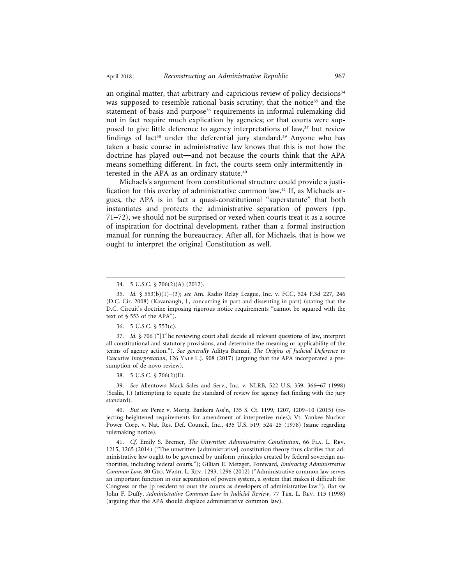an original matter, that arbitrary-and-capricious review of policy decisions<sup>34</sup> was supposed to resemble rational basis scrutiny; that the notice<sup>35</sup> and the statement-of-basis-and-purpose<sup>36</sup> requirements in informal rulemaking did not in fact require much explication by agencies; or that courts were supposed to give little deference to agency interpretations of law,<sup>37</sup> but review findings of fact<sup>38</sup> under the deferential jury standard.<sup>39</sup> Anyone who has taken a basic course in administrative law knows that this is not how the doctrine has played out—and not because the courts think that the APA means something different. In fact, the courts seem only intermittently interested in the APA as an ordinary statute.40

Michaels's argument from constitutional structure could provide a justification for this overlay of administrative common law.41 If, as Michaels argues, the APA is in fact a quasi-constitutional "superstatute" that both instantiates and protects the administrative separation of powers (pp. 71–72), we should not be surprised or vexed when courts treat it as a source of inspiration for doctrinal development, rather than a formal instruction manual for running the bureaucracy. After all, for Michaels, that is how we ought to interpret the original Constitution as well.

36. 5 U.S.C. § 553(c).

37. *Id.* § 706 ("[T]he reviewing court shall decide all relevant questions of law, interpret all constitutional and statutory provisions, and determine the meaning or applicability of the terms of agency action."). *See generally* Aditya Bamzai, *The Origins of Judicial Deference to Executive Interpretation*, 126 YALE L.J. 908 (2017) (arguing that the APA incorporated a presumption of de novo review).

38. 5 U.S.C. § 706(2)(E).

39. *See* Allentown Mack Sales and Serv., Inc. v. NLRB, 522 U.S. 359, 366–67 (1998) (Scalia, J.) (attempting to equate the standard of review for agency fact finding with the jury standard).

40. *But see* Perez v. Mortg. Bankers Ass'n, 135 S. Ct. 1199, 1207, 1209–10 (2015) (rejecting heightened requirements for amendment of interpretive rules); Vt. Yankee Nuclear Power Corp. v. Nat. Res. Def. Council, Inc., 435 U.S. 519, 524–25 (1978) (same regarding rulemaking notice).

41. *Cf.* Emily S. Bremer, *The Unwritten Administrative Constitution*, 66 Fla. L. Rev. 1215, 1265 (2014) ("The unwritten [administrative] constitution theory thus clarifies that administrative law ought to be governed by uniform principles created by federal sovereign authorities, including federal courts."); Gillian E. Metzger, Foreward, *Embracing Administrative Common Law*, 80 Geo. Wash. L. Rev. 1293, 1296 (2012) ("Administrative common law serves an important function in our separation of powers system, a system that makes it difficult for Congress or the [p]resident to oust the courts as developers of administrative law."). *But see* John F. Duffy, *Administrative Common Law in Judicial Review*, 77 Tex. L. Rev. 113 (1998) (arguing that the APA should displace administrative common law).

<sup>34. 5</sup> U.S.C. § 706(2)(A) (2012).

<sup>35.</sup> *Id.* § 553(b)(1)–(3); *see* Am. Radio Relay League, Inc. v. FCC, 524 F.3d 227, 246 (D.C. Cir. 2008) (Kavanaugh, J., concurring in part and dissenting in part) (stating that the D.C. Circuit's doctrine imposing rigorous notice requirements "cannot be squared with the text of § 553 of the APA").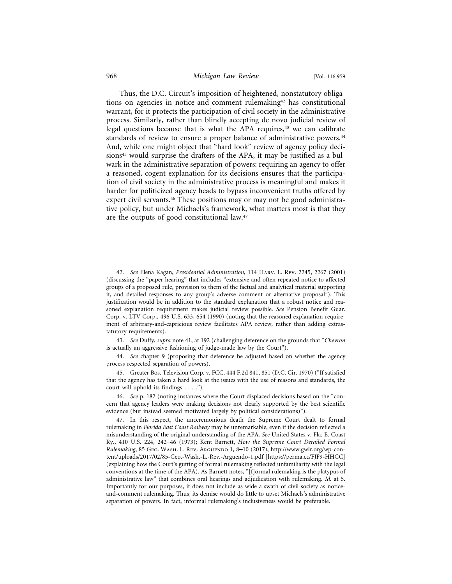#### 968 *Michigan Law Review* [Vol. 116:959

Thus, the D.C. Circuit's imposition of heightened, nonstatutory obligations on agencies in notice-and-comment rulemaking42 has constitutional warrant, for it protects the participation of civil society in the administrative process. Similarly, rather than blindly accepting de novo judicial review of legal questions because that is what the APA requires,<sup>43</sup> we can calibrate standards of review to ensure a proper balance of administrative powers.<sup>44</sup> And, while one might object that "hard look" review of agency policy decisions<sup>45</sup> would surprise the drafters of the APA, it may be justified as a bulwark in the administrative separation of powers: requiring an agency to offer a reasoned, cogent explanation for its decisions ensures that the participation of civil society in the administrative process is meaningful and makes it harder for politicized agency heads to bypass inconvenient truths offered by expert civil servants.<sup>46</sup> These positions may or may not be good administrative policy, but under Michaels's framework, what matters most is that they are the outputs of good constitutional law.47

44. *See* chapter 9 (proposing that deference be adjusted based on whether the agency process respected separation of powers).

45. Greater Bos. Television Corp. v. FCC, 444 F.2d 841, 851 (D.C. Cir. 1970) ("If satisfied that the agency has taken a hard look at the issues with the use of reasons and standards, the court will uphold its findings . . . .").

<sup>42.</sup> *See* Elena Kagan, *Presidential Administration*, 114 Harv. L. Rev. 2245, 2267 (2001) (discussing the "paper hearing" that includes "extensive and often repeated notice to affected groups of a proposed rule, provision to them of the factual and analytical material supporting it, and detailed responses to any group's adverse comment or alternative proposal"). This justification would be in addition to the standard explanation that a robust notice and reasoned explanation requirement makes judicial review possible. *See* Pension Benefit Guar. Corp. v. LTV Corp., 496 U.S. 633, 654 (1990) (noting that the reasoned explanation requirement of arbitrary-and-capricious review facilitates APA review, rather than adding extrastatutory requirements).

<sup>43.</sup> *See* Duffy, *supra* note 41, at 192 (challenging deference on the grounds that "*Chevron* is actually an aggressive fashioning of judge-made law by the Court").

<sup>46.</sup> *See* p. 182 (noting instances where the Court displaced decisions based on the "concern that agency leaders were making decisions not clearly supported by the best scientific evidence (but instead seemed motivated largely by political considerations)").

<sup>47.</sup> In this respect, the unceremonious death the Supreme Court dealt to formal rulemaking in *Florida East Coast Railway* may be unremarkable, even if the decision reflected a misunderstanding of the original understanding of the APA. *See* United States v. Fla. E. Coast Ry., 410 U.S. 224, 242–46 (1973); Kent Barnett, *How the Supreme Court Derailed Formal Rulemaking*, 85 Geo. Wash. L. Rev. Arguendo 1, 8–10 (2017), http://www.gwlr.org/wp-content/uploads/2017/02/85-Geo.-Wash.-L.-Rev.-Arguendo-1.pdf [https://perma.cc/FJF9-HHGC] (explaining how the Court's gutting of formal rulemaking reflected unfamiliarity with the legal conventions at the time of the APA). As Barnett notes, "[f]ormal rulemaking is the platypus of administrative law" that combines oral hearings and adjudication with rulemaking. *Id.* at 5. Importantly for our purposes, it does not include as wide a swath of civil society as noticeand-comment rulemaking. Thus, its demise would do little to upset Michaels's administrative separation of powers. In fact, informal rulemaking's inclusiveness would be preferable.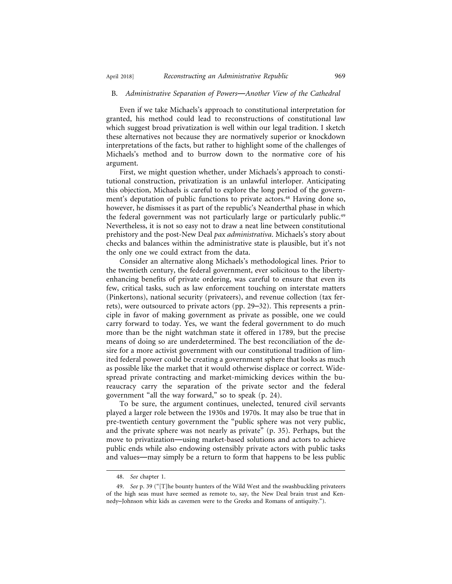#### B. *Administrative Separation of Powers*—*Another View of the Cathedral*

Even if we take Michaels's approach to constitutional interpretation for granted, his method could lead to reconstructions of constitutional law which suggest broad privatization is well within our legal tradition. I sketch these alternatives not because they are normatively superior or knockdown interpretations of the facts, but rather to highlight some of the challenges of Michaels's method and to burrow down to the normative core of his argument.

First, we might question whether, under Michaels's approach to constitutional construction, privatization is an unlawful interloper. Anticipating this objection, Michaels is careful to explore the long period of the government's deputation of public functions to private actors.<sup>48</sup> Having done so, however, he dismisses it as part of the republic's Neanderthal phase in which the federal government was not particularly large or particularly public.49 Nevertheless, it is not so easy not to draw a neat line between constitutional prehistory and the post-New Deal *pax administrativa*. Michaels's story about checks and balances within the administrative state is plausible, but it's not the only one we could extract from the data.

Consider an alternative along Michaels's methodological lines. Prior to the twentieth century, the federal government, ever solicitous to the libertyenhancing benefits of private ordering, was careful to ensure that even its few, critical tasks, such as law enforcement touching on interstate matters (Pinkertons), national security (privateers), and revenue collection (tax ferrets), were outsourced to private actors (pp. 29–32). This represents a principle in favor of making government as private as possible, one we could carry forward to today. Yes, we want the federal government to do much more than be the night watchman state it offered in 1789, but the precise means of doing so are underdetermined. The best reconciliation of the desire for a more activist government with our constitutional tradition of limited federal power could be creating a government sphere that looks as much as possible like the market that it would otherwise displace or correct. Widespread private contracting and market-mimicking devices within the bureaucracy carry the separation of the private sector and the federal government "all the way forward," so to speak (p. 24).

To be sure, the argument continues, unelected, tenured civil servants played a larger role between the 1930s and 1970s. It may also be true that in pre-twentieth century government the "public sphere was not very public, and the private sphere was not nearly as private" (p. 35). Perhaps, but the move to privatization—using market-based solutions and actors to achieve public ends while also endowing ostensibly private actors with public tasks and values—may simply be a return to form that happens to be less public

<sup>48.</sup> *See* chapter 1.

<sup>49.</sup> *See* p. 39 ("[T]he bounty hunters of the Wild West and the swashbuckling privateers of the high seas must have seemed as remote to, say, the New Deal brain trust and Kennedy–Johnson whiz kids as cavemen were to the Greeks and Romans of antiquity.").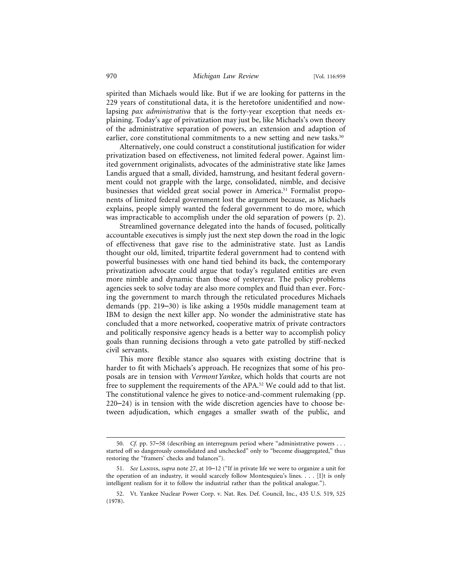spirited than Michaels would like. But if we are looking for patterns in the 229 years of constitutional data, it is the heretofore unidentified and nowlapsing *pax administrativa* that is the forty-year exception that needs explaining. Today's age of privatization may just be, like Michaels's own theory of the administrative separation of powers, an extension and adaption of earlier, core constitutional commitments to a new setting and new tasks.<sup>50</sup>

Alternatively, one could construct a constitutional justification for wider privatization based on effectiveness, not limited federal power. Against limited government originalists, advocates of the administrative state like James Landis argued that a small, divided, hamstrung, and hesitant federal government could not grapple with the large, consolidated, nimble, and decisive businesses that wielded great social power in America.<sup>51</sup> Formalist proponents of limited federal government lost the argument because, as Michaels explains, people simply wanted the federal government to do more, which was impracticable to accomplish under the old separation of powers (p. 2).

Streamlined governance delegated into the hands of focused, politically accountable executives is simply just the next step down the road in the logic of effectiveness that gave rise to the administrative state. Just as Landis thought our old, limited, tripartite federal government had to contend with powerful businesses with one hand tied behind its back, the contemporary privatization advocate could argue that today's regulated entities are even more nimble and dynamic than those of yesteryear. The policy problems agencies seek to solve today are also more complex and fluid than ever. Forcing the government to march through the reticulated procedures Michaels demands (pp. 219–30) is like asking a 1950s middle management team at IBM to design the next killer app. No wonder the administrative state has concluded that a more networked, cooperative matrix of private contractors and politically responsive agency heads is a better way to accomplish policy goals than running decisions through a veto gate patrolled by stiff-necked civil servants.

This more flexible stance also squares with existing doctrine that is harder to fit with Michaels's approach. He recognizes that some of his proposals are in tension with *Vermont Yankee*, which holds that courts are not free to supplement the requirements of the APA.52 We could add to that list. The constitutional valence he gives to notice-and-comment rulemaking (pp. 220–24) is in tension with the wide discretion agencies have to choose between adjudication, which engages a smaller swath of the public, and

<sup>50.</sup> *Cf.* pp. 57–58 (describing an interregnum period where "administrative powers . . . started off so dangerously consolidated and unchecked" only to "become disaggregated," thus restoring the "framers' checks and balances").

<sup>51.</sup> See Landis, *supra* note 27, at 10-12 ("If in private life we were to organize a unit for the operation of an industry, it would scarcely follow Montesquieu's lines. . . . [I]t is only intelligent realism for it to follow the industrial rather than the political analogue.").

<sup>52.</sup> Vt. Yankee Nuclear Power Corp. v. Nat. Res. Def. Council, Inc., 435 U.S. 519, 525 (1978).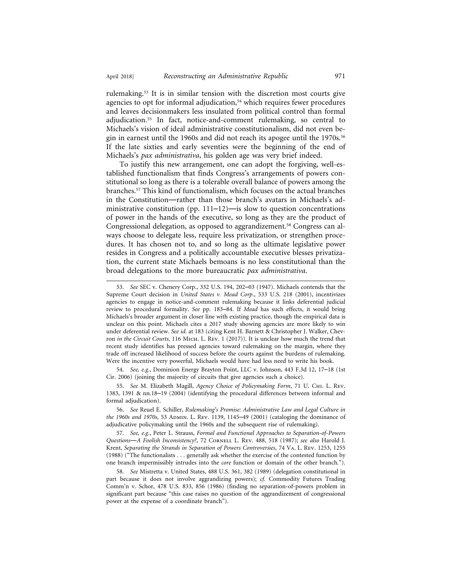rulemaking.53 It is in similar tension with the discretion most courts give agencies to opt for informal adjudication,54 which requires fewer procedures and leaves decisionmakers less insulated from political control than formal adjudication.55 In fact, notice-and-comment rulemaking, so central to Michaels's vision of ideal administrative constitutionalism, did not even begin in earnest until the 1960s and did not reach its apogee until the 1970s.<sup>56</sup> If the late sixties and early seventies were the beginning of the end of Michaels's *pax administrativa*, his golden age was very brief indeed.

To justify this new arrangement, one can adopt the forgiving, well-established functionalism that finds Congress's arrangements of powers constitutional so long as there is a tolerable overall balance of powers among the branches.57 This kind of functionalism, which focuses on the actual branches in the Constitution—rather than those branch's avatars in Michaels's administrative constitution (pp.  $111-12$ )—is slow to question concentrations of power in the hands of the executive, so long as they are the product of Congressional delegation, as opposed to aggrandizement.58 Congress can always choose to delegate less, require less privatization, or strengthen procedures. It has chosen not to, and so long as the ultimate legislative power resides in Congress and a politically accountable executive blesses privatization, the current state Michaels bemoans is no less constitutional than the broad delegations to the more bureaucratic *pax administrativa*.

54. *See, e.g.*, Dominion Energy Brayton Point, LLC v. Johnson, 443 F.3d 12, 17–18 (1st Cir. 2006) (joining the majority of circuits that give agencies such a choice).

55. *See* M. Elizabeth Magill, *Agency Choice of Policymaking Form*, 71 U. Chi. L. Rev. 1383, 1391 & nn.18–19 (2004) (identifying the procedural differences between informal and formal adjudication).

56. *See* Reuel E. Schiller, *Rulemaking's Promise: Administrative Law and Legal Culture in the 1960s and 1970s*, 53 Admin. L. Rev. 1139, 1145–49 (2001) (cataloging the dominance of adjudicative policymaking until the 1960s and the subsequent rise of rulemaking).

57. *See, e.g.*, Peter L. Strauss, *Formal and Functional Approaches to Separation-of-Powers Questions*—*A Foolish Inconsistency?*, 72 Cornell L. Rev. 488, 518 (1987); *see also* Harold J. Krent, *Separating the Strands in Separation of Powers Controversies*, 74 Va. L. Rev. 1253, 1255 (1988) ("The functionalists . . . generally ask whether the exercise of the contested function by one branch impermissibly intrudes into the *core* function or domain of the other branch.").

58. *See* Mistretta v. United States, 488 U.S. 361, 382 (1989) (delegation constitutional in part because it does not involve aggrandizing powers); *cf.* Commodity Futures Trading Comm'n v. Schor, 478 U.S. 833, 856 (1986) (finding no separation-of-powers problem in significant part because "this case raises no question of the aggrandizement of congressional power at the expense of a coordinate branch").

<sup>53.</sup> *See* SEC v. Chenery Corp., 332 U.S. 194, 202–03 (1947). Michaels contends that the Supreme Court decision in *United States v. Mead Corp*., 533 U.S. 218 (2001), incentivizes agencies to engage in notice-and-comment rulemaking because it links deferential judicial review to procedural formality. *See* pp. 183–84. If *Mead* has such effects, it would bring Michaels's broader argument in closer line with existing practice, though the empirical data is unclear on this point. Michaels cites a 2017 study showing agencies are more likely to win under deferential review. *See id.* at 183 (citing Kent H. Barnett & Christopher J. Walker, Chevron *in the Circuit Courts*, 116 Mich. L. Rev. 1 (2017)). It is unclear how much the trend that recent study identifies has pressed agencies toward rulemaking on the margin, where they trade off increased likelihood of success before the courts against the burdens of rulemaking. Were the incentive very powerful, Michaels would have had less need to write his book.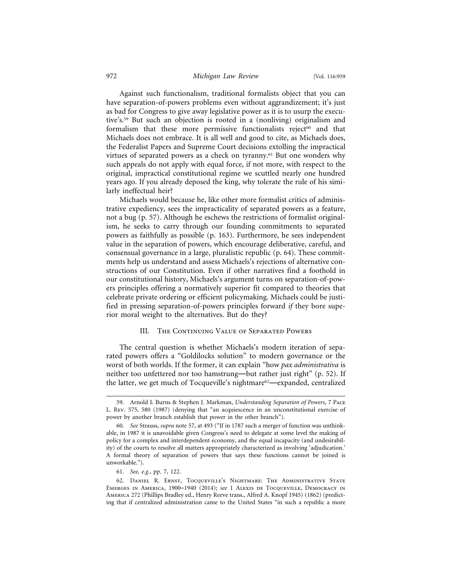#### 972 *Michigan Law Review* [Vol. 116:959

Against such functionalism, traditional formalists object that you can have separation-of-powers problems even without aggrandizement; it's just as bad for Congress to give away legislative power as it is to usurp the executive's.59 But such an objection is rooted in a (nonliving) originalism and formalism that these more permissive functionalists reject<sup>60</sup> and that Michaels does not embrace. It is all well and good to cite, as Michaels does, the Federalist Papers and Supreme Court decisions extolling the impractical virtues of separated powers as a check on tyranny.<sup>61</sup> But one wonders why such appeals do not apply with equal force, if not more, with respect to the original, impractical constitutional regime we scuttled nearly one hundred years ago. If you already deposed the king, why tolerate the rule of his similarly ineffectual heir?

Michaels would because he, like other more formalist critics of administrative expediency, sees the impracticality of separated powers as a feature, not a bug (p. 57). Although he eschews the restrictions of formalist originalism, he seeks to carry through our founding commitments to separated powers as faithfully as possible (p. 163). Furthermore, he sees independent value in the separation of powers, which encourage deliberative, careful, and consensual governance in a large, pluralistic republic (p. 64). These commitments help us understand and assess Michaels's rejections of alternative constructions of our Constitution. Even if other narratives find a foothold in our constitutional history, Michaels's argument turns on separation-of-powers principles offering a normatively superior fit compared to theories that celebrate private ordering or efficient policymaking. Michaels could be justified in pressing separation-of-powers principles forward *if* they bore superior moral weight to the alternatives. But do they?

#### III. The Continuing Value of Separated Powers

The central question is whether Michaels's modern iteration of separated powers offers a "Goldilocks solution" to modern governance or the worst of both worlds. If the former, it can explain "how *pax administrativa* is neither too unfettered nor too hamstrung—but rather just right" (p. 52). If the latter, we get much of Tocqueville's nightmare<sup>62</sup>—expanded, centralized

<sup>59.</sup> Arnold I. Burns & Stephen J. Markman, *Understanding Separation of Powers*, 7 Pace L. Rev. 575, 580 (1987) (denying that "an acquiescence in an unconstitutional exercise of power by another branch establish that power in the other branch").

<sup>60.</sup> *See* Strauss, *supra* note 57, at 493 ("If in 1787 such a merger of function was unthinkable, in 1987 it is unavoidable given Congress's need to delegate at some level the making of policy for a complex and interdependent economy, and the equal incapacity (and undesirability) of the courts to resolve all matters appropriately characterized as involving 'adjudication.' A formal theory of separation of powers that says these functions cannot be joined is unworkable.").

<sup>61.</sup> *See, e.g.*, pp. 7, 122.

<sup>62.</sup> Daniel R. Ernst, Tocqueville's Nightmare: The Administrative State Emerges in America, 1900–1940 (2014); *see* 1 Alexis de Tocqueville, Democracy in America 272 (Phillips Bradley ed., Henry Reeve trans., Alfred A. Knopf 1945) (1862) (predicting that if centralized administration came to the United States "in such a republic a more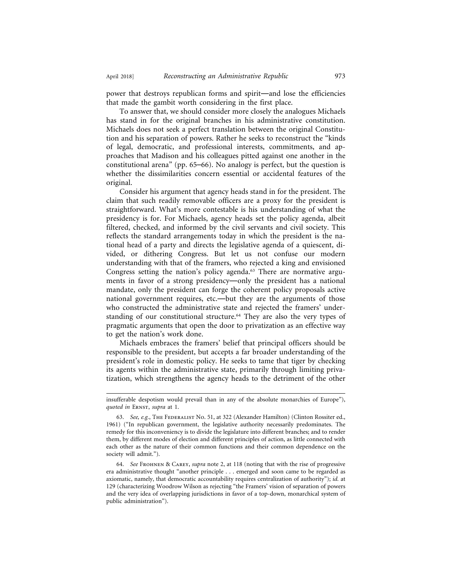power that destroys republican forms and spirit—and lose the efficiencies that made the gambit worth considering in the first place.

To answer that, we should consider more closely the analogues Michaels has stand in for the original branches in his administrative constitution. Michaels does not seek a perfect translation between the original Constitution and his separation of powers. Rather he seeks to reconstruct the "kinds of legal, democratic, and professional interests, commitments, and approaches that Madison and his colleagues pitted against one another in the constitutional arena" (pp. 65–66). No analogy is perfect, but the question is whether the dissimilarities concern essential or accidental features of the original.

Consider his argument that agency heads stand in for the president. The claim that such readily removable officers are a proxy for the president is straightforward. What's more contestable is his understanding of what the presidency is for. For Michaels, agency heads set the policy agenda, albeit filtered, checked, and informed by the civil servants and civil society. This reflects the standard arrangements today in which the president is the national head of a party and directs the legislative agenda of a quiescent, divided, or dithering Congress. But let us not confuse our modern understanding with that of the framers, who rejected a king and envisioned Congress setting the nation's policy agenda.<sup>63</sup> There are normative arguments in favor of a strong presidency—only the president has a national mandate, only the president can forge the coherent policy proposals active national government requires, etc.—but they are the arguments of those who constructed the administrative state and rejected the framers' understanding of our constitutional structure.64 They are also the very types of pragmatic arguments that open the door to privatization as an effective way to get the nation's work done.

Michaels embraces the framers' belief that principal officers should be responsible to the president, but accepts a far broader understanding of the president's role in domestic policy. He seeks to tame that tiger by checking its agents within the administrative state, primarily through limiting privatization, which strengthens the agency heads to the detriment of the other

insufferable despotism would prevail than in any of the absolute monarchies of Europe"), *quoted in* Ernst, *supra* at 1.

<sup>63.</sup> *See, e.g.*, THE FEDERALIST NO. 51, at 322 (Alexander Hamilton) (Clinton Rossiter ed., 1961) ("In republican government, the legislative authority necessarily predominates. The remedy for this inconveniency is to divide the legislature into different branches; and to render them, by different modes of election and different principles of action, as little connected with each other as the nature of their common functions and their common dependence on the society will admit.").

<sup>64.</sup> *See* Frohnen & Carey, *supra* note 2, at 118 (noting that with the rise of progressive era administrative thought "another principle . . . emerged and soon came to be regarded as axiomatic, namely, that democratic accountability requires centralization of authority"); *id.* at 129 (characterizing Woodrow Wilson as rejecting "the Framers' vision of separation of powers and the very idea of overlapping jurisdictions in favor of a top-down, monarchical system of public administration").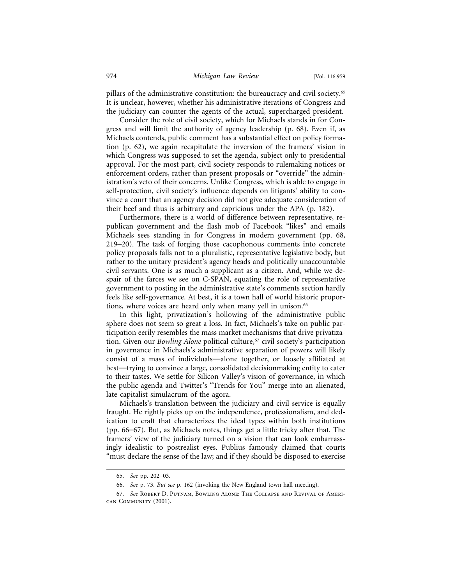pillars of the administrative constitution: the bureaucracy and civil society.<sup>65</sup> It is unclear, however, whether his administrative iterations of Congress and the judiciary can counter the agents of the actual, supercharged president.

Consider the role of civil society, which for Michaels stands in for Congress and will limit the authority of agency leadership (p. 68). Even if, as Michaels contends, public comment has a substantial effect on policy formation (p. 62), we again recapitulate the inversion of the framers' vision in which Congress was supposed to set the agenda, subject only to presidential approval. For the most part, civil society responds to rulemaking notices or enforcement orders, rather than present proposals or "override" the administration's veto of their concerns. Unlike Congress, which is able to engage in self-protection, civil society's influence depends on litigants' ability to convince a court that an agency decision did not give adequate consideration of their beef and thus is arbitrary and capricious under the APA (p. 182).

Furthermore, there is a world of difference between representative, republican government and the flash mob of Facebook "likes" and emails Michaels sees standing in for Congress in modern government (pp. 68, 219–20). The task of forging those cacophonous comments into concrete policy proposals falls not to a pluralistic, representative legislative body, but rather to the unitary president's agency heads and politically unaccountable civil servants. One is as much a supplicant as a citizen. And, while we despair of the farces we see on C-SPAN, equating the role of representative government to posting in the administrative state's comments section hardly feels like self-governance. At best, it is a town hall of world historic proportions, where voices are heard only when many yell in unison.<sup>66</sup>

In this light, privatization's hollowing of the administrative public sphere does not seem so great a loss. In fact, Michaels's take on public participation eerily resembles the mass market mechanisms that drive privatization. Given our *Bowling Alone* political culture,<sup>67</sup> civil society's participation in governance in Michaels's administrative separation of powers will likely consist of a mass of individuals—alone together, or loosely affiliated at best—trying to convince a large, consolidated decisionmaking entity to cater to their tastes. We settle for Silicon Valley's vision of governance, in which the public agenda and Twitter's "Trends for You" merge into an alienated, late capitalist simulacrum of the agora.

Michaels's translation between the judiciary and civil service is equally fraught. He rightly picks up on the independence, professionalism, and dedication to craft that characterizes the ideal types within both institutions (pp. 66–67). But, as Michaels notes, things get a little tricky after that. The framers' view of the judiciary turned on a vision that can look embarrassingly idealistic to postrealist eyes. Publius famously claimed that courts "must declare the sense of the law; and if they should be disposed to exercise

<sup>65.</sup> *See* pp. 202–03.

<sup>66.</sup> *See* p. 73. *But see* p. 162 (invoking the New England town hall meeting).

<sup>67.</sup> *See* Robert D. Putnam, Bowling Alone: The Collapse and Revival of American Community (2001).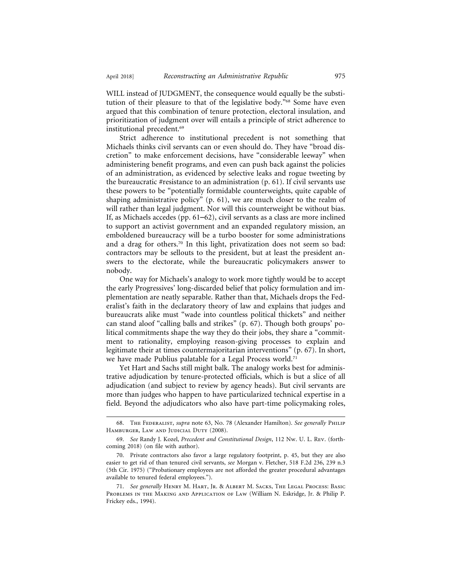WILL instead of JUDGMENT, the consequence would equally be the substitution of their pleasure to that of the legislative body."68 Some have even argued that this combination of tenure protection, electoral insulation, and prioritization of judgment over will entails a principle of strict adherence to institutional precedent.69

Strict adherence to institutional precedent is not something that Michaels thinks civil servants can or even should do. They have "broad discretion" to make enforcement decisions, have "considerable leeway" when administering benefit programs, and even can push back against the policies of an administration, as evidenced by selective leaks and rogue tweeting by the bureaucratic #resistance to an administration (p. 61). If civil servants use these powers to be "potentially formidable counterweights, quite capable of shaping administrative policy" (p. 61), we are much closer to the realm of will rather than legal judgment. Nor will this counterweight be without bias. If, as Michaels accedes (pp. 61–62), civil servants as a class are more inclined to support an activist government and an expanded regulatory mission, an emboldened bureaucracy will be a turbo booster for some administrations and a drag for others.70 In this light, privatization does not seem so bad: contractors may be sellouts to the president, but at least the president answers to the electorate, while the bureaucratic policymakers answer to nobody.

One way for Michaels's analogy to work more tightly would be to accept the early Progressives' long-discarded belief that policy formulation and implementation are neatly separable. Rather than that, Michaels drops the Federalist's faith in the declaratory theory of law and explains that judges and bureaucrats alike must "wade into countless political thickets" and neither can stand aloof "calling balls and strikes" (p. 67). Though both groups' political commitments shape the way they do their jobs, they share a "commitment to rationality, employing reason-giving processes to explain and legitimate their at times countermajoritarian interventions" (p. 67). In short, we have made Publius palatable for a Legal Process world.71

Yet Hart and Sachs still might balk. The analogy works best for administrative adjudication by tenure-protected officials, which is but a slice of all adjudication (and subject to review by agency heads). But civil servants are more than judges who happen to have particularized technical expertise in a field. Beyond the adjudicators who also have part-time policymaking roles,

<sup>68.</sup> The Federalist, *supra* note 63, No. 78 (Alexander Hamilton). *See generally* Philip HAMBURGER, LAW AND JUDICIAL DUTY (2008).

<sup>69.</sup> *See* Randy J. Kozel, *Precedent and Constitutional Design*, 112 Nw. U. L. Rev. (forthcoming 2018) (on file with author).

<sup>70.</sup> Private contractors also favor a large regulatory footprint, p. 45, but they are also easier to get rid of than tenured civil servants, *see* Morgan v. Fletcher, 518 F.2d 236, 239 n.3 (5th Cir. 1975) ("Probationary employees are not afforded the greater procedural advantages available to tenured federal employees.").

<sup>71.</sup> *See generally* Henry M. Hart, Jr. & Albert M. Sacks, The Legal Process: Basic Problems in the Making and Application of Law (William N. Eskridge, Jr. & Philip P. Frickey eds., 1994).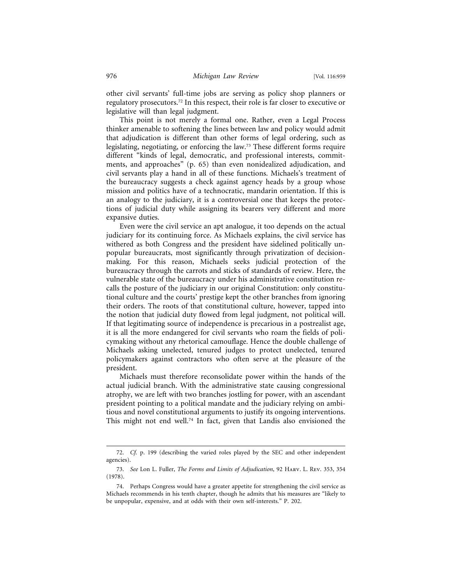other civil servants' full-time jobs are serving as policy shop planners or regulatory prosecutors.72 In this respect, their role is far closer to executive or legislative will than legal judgment.

This point is not merely a formal one. Rather, even a Legal Process thinker amenable to softening the lines between law and policy would admit that adjudication is different than other forms of legal ordering, such as legislating, negotiating, or enforcing the law.73 These different forms require different "kinds of legal, democratic, and professional interests, commitments, and approaches" (p. 65) than even nonidealized adjudication, and civil servants play a hand in all of these functions. Michaels's treatment of the bureaucracy suggests a check against agency heads by a group whose mission and politics have of a technocratic, mandarin orientation. If this is an analogy to the judiciary, it is a controversial one that keeps the protections of judicial duty while assigning its bearers very different and more expansive duties.

Even were the civil service an apt analogue, it too depends on the actual judiciary for its continuing force. As Michaels explains, the civil service has withered as both Congress and the president have sidelined politically unpopular bureaucrats, most significantly through privatization of decisionmaking. For this reason, Michaels seeks judicial protection of the bureaucracy through the carrots and sticks of standards of review. Here, the vulnerable state of the bureaucracy under his administrative constitution recalls the posture of the judiciary in our original Constitution: only constitutional culture and the courts' prestige kept the other branches from ignoring their orders. The roots of that constitutional culture, however, tapped into the notion that judicial duty flowed from legal judgment, not political will. If that legitimating source of independence is precarious in a postrealist age, it is all the more endangered for civil servants who roam the fields of policymaking without any rhetorical camouflage. Hence the double challenge of Michaels asking unelected, tenured judges to protect unelected, tenured policymakers against contractors who often serve at the pleasure of the president.

Michaels must therefore reconsolidate power within the hands of the actual judicial branch. With the administrative state causing congressional atrophy, we are left with two branches jostling for power, with an ascendant president pointing to a political mandate and the judiciary relying on ambitious and novel constitutional arguments to justify its ongoing interventions. This might not end well.<sup>74</sup> In fact, given that Landis also envisioned the

<sup>72.</sup> *Cf.* p. 199 (describing the varied roles played by the SEC and other independent agencies).

<sup>73.</sup> *See* Lon L. Fuller, *The Forms and Limits of Adjudication*, 92 Harv. L. Rev. 353, 354 (1978).

<sup>74.</sup> Perhaps Congress would have a greater appetite for strengthening the civil service as Michaels recommends in his tenth chapter, though he admits that his measures are "likely to be unpopular, expensive, and at odds with their own self-interests." P. 202.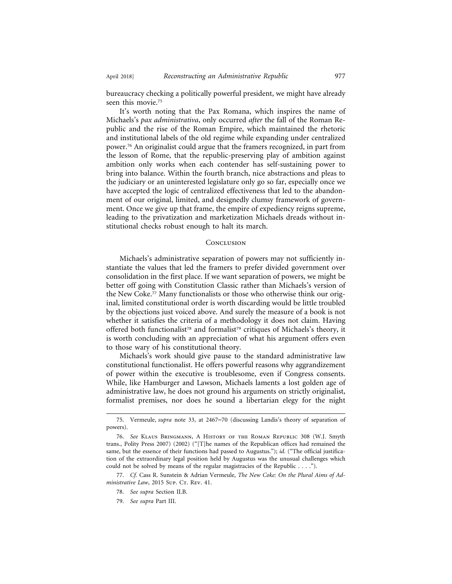bureaucracy checking a politically powerful president, we might have already seen this movie.75

It's worth noting that the Pax Romana, which inspires the name of Michaels's *pax administrativa*, only occurred *after* the fall of the Roman Republic and the rise of the Roman Empire, which maintained the rhetoric and institutional labels of the old regime while expanding under centralized power.76 An originalist could argue that the framers recognized, in part from the lesson of Rome, that the republic-preserving play of ambition against ambition only works when each contender has self-sustaining power to bring into balance. Within the fourth branch, nice abstractions and pleas to the judiciary or an uninterested legislature only go so far, especially once we have accepted the logic of centralized effectiveness that led to the abandonment of our original, limited, and designedly clumsy framework of government. Once we give up that frame, the empire of expediency reigns supreme, leading to the privatization and marketization Michaels dreads without institutional checks robust enough to halt its march.

#### **CONCLUSION**

Michaels's administrative separation of powers may not sufficiently instantiate the values that led the framers to prefer divided government over consolidation in the first place. If we want separation of powers, we might be better off going with Constitution Classic rather than Michaels's version of the New Coke.77 Many functionalists or those who otherwise think our original, limited constitutional order is worth discarding would be little troubled by the objections just voiced above. And surely the measure of a book is not whether it satisfies the criteria of a methodology it does not claim. Having offered both functionalist<sup>78</sup> and formalist<sup>79</sup> critiques of Michaels's theory, it is worth concluding with an appreciation of what his argument offers even to those wary of his constitutional theory.

Michaels's work should give pause to the standard administrative law constitutional functionalist. He offers powerful reasons why aggrandizement of power within the executive is troublesome, even if Congress consents. While, like Hamburger and Lawson, Michaels laments a lost golden age of administrative law, he does not ground his arguments on strictly originalist, formalist premises, nor does he sound a libertarian elegy for the night

<sup>75.</sup> Vermeule, *supra* note 33, at 2467–70 (discussing Landis's theory of separation of powers).

<sup>76.</sup> *See* Klaus Bringmann, A History of the Roman Republic 308 (W.J. Smyth trans., Polity Press 2007) (2002) ("[T]he names of the Republican offices had remained the same, but the essence of their functions had passed to Augustus."); *id.* ("The official justification of the extraordinary legal position held by Augustus was the unusual challenges which could not be solved by means of the regular magistracies of the Republic . . . .").

<sup>77.</sup> *Cf.* Cass R. Sunstein & Adrian Vermeule, *The New Coke: On the Plural Aims of Administrative Law*, 2015 Sup. Cr. Rev. 41.

<sup>78.</sup> *See supra* Section II.B.

<sup>79.</sup> *See supra* Part III.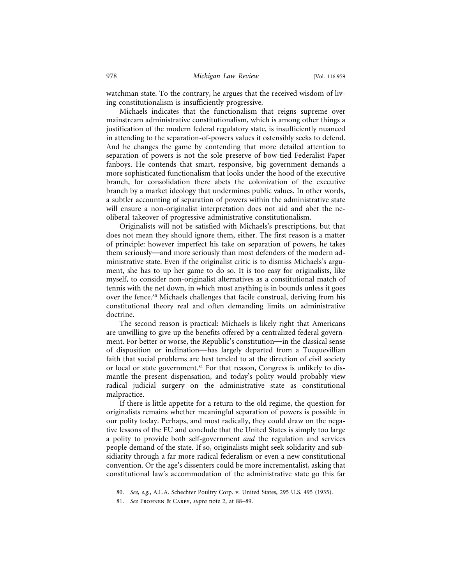watchman state. To the contrary, he argues that the received wisdom of living constitutionalism is insufficiently progressive.

Michaels indicates that the functionalism that reigns supreme over mainstream administrative constitutionalism, which is among other things a justification of the modern federal regulatory state, is insufficiently nuanced in attending to the separation-of-powers values it ostensibly seeks to defend. And he changes the game by contending that more detailed attention to separation of powers is not the sole preserve of bow-tied Federalist Paper fanboys. He contends that smart, responsive, big government demands a more sophisticated functionalism that looks under the hood of the executive branch, for consolidation there abets the colonization of the executive branch by a market ideology that undermines public values. In other words, a subtler accounting of separation of powers within the administrative state will ensure a non-originalist interpretation does not aid and abet the neoliberal takeover of progressive administrative constitutionalism.

Originalists will not be satisfied with Michaels's prescriptions, but that does not mean they should ignore them, either. The first reason is a matter of principle: however imperfect his take on separation of powers, he takes them seriously—and more seriously than most defenders of the modern administrative state. Even if the originalist critic is to dismiss Michaels's argument, she has to up her game to do so. It is too easy for originalists, like myself, to consider non-originalist alternatives as a constitutional match of tennis with the net down, in which most anything is in bounds unless it goes over the fence.80 Michaels challenges that facile construal, deriving from his constitutional theory real and often demanding limits on administrative doctrine.

The second reason is practical: Michaels is likely right that Americans are unwilling to give up the benefits offered by a centralized federal government. For better or worse, the Republic's constitution—in the classical sense of disposition or inclination—has largely departed from a Tocquevillian faith that social problems are best tended to at the direction of civil society or local or state government.<sup>81</sup> For that reason, Congress is unlikely to dismantle the present dispensation, and today's polity would probably view radical judicial surgery on the administrative state as constitutional malpractice.

If there is little appetite for a return to the old regime, the question for originalists remains whether meaningful separation of powers is possible in our polity today. Perhaps, and most radically, they could draw on the negative lessons of the EU and conclude that the United States is simply too large a polity to provide both self-government *and* the regulation and services people demand of the state. If so, originalists might seek solidarity and subsidiarity through a far more radical federalism or even a new constitutional convention. Or the age's dissenters could be more incrementalist, asking that constitutional law's accommodation of the administrative state go this far

<sup>80.</sup> *See, e.g.*, A.L.A. Schechter Poultry Corp. v. United States, 295 U.S. 495 (1935).

<sup>81.</sup> *See* Frohnen & Carey, *supra* note 2, at 88–89.